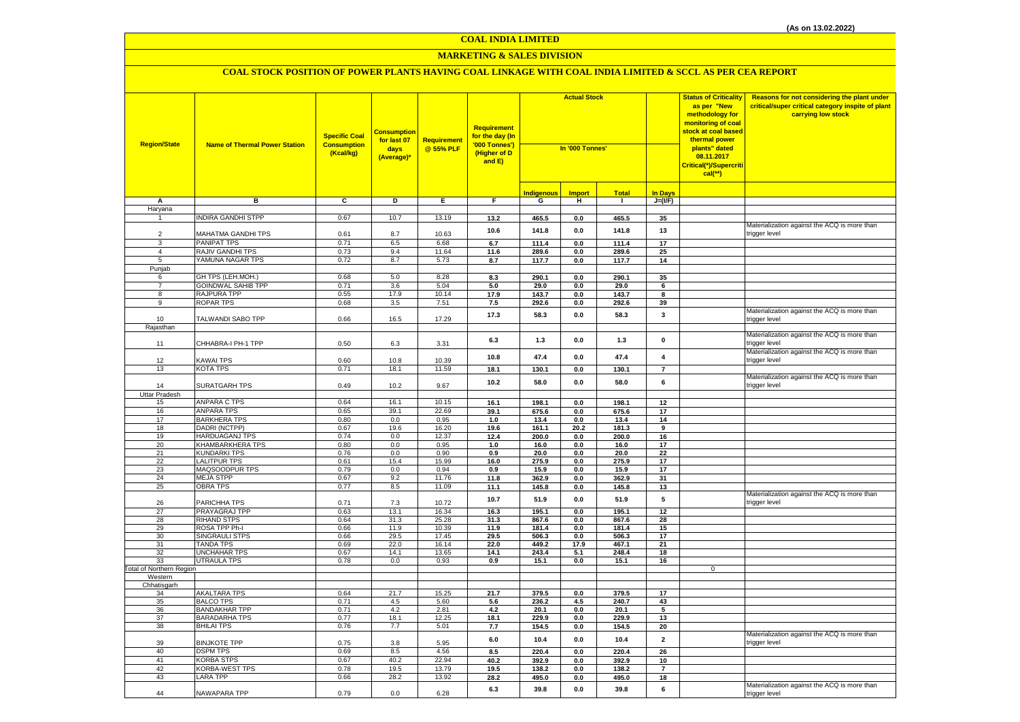#### **MARKETING & SALES DIVISION**

| <b>Region/State</b>             | <b>Name of Thermal Power Station</b>         | <b>Specific Coal</b><br><b>Consumption</b><br>(Kcal/kg) | <b>Consumption</b><br>for last 07<br>days<br>(Average)* | <b>Requirement</b><br>@ 55% PLF | Requirement<br>for the day (In<br>'000 Tonnes')<br>(Higher of D<br>and E) | <b>Actual Stock</b><br>In '000 Tonnes' |                |                |                         | <b>Status of Criticality</b><br>as per "New<br>methodology for<br>monitoring of coal<br><mark>stock at coal based</mark><br>thermal power<br>plants" dated<br>08.11.2017<br>Critical(*)/Supercriti<br>$cal$ (**) | Reasons for not considering the plant under<br>critical/super critical category inspite of plant<br>carrying low stock |
|---------------------------------|----------------------------------------------|---------------------------------------------------------|---------------------------------------------------------|---------------------------------|---------------------------------------------------------------------------|----------------------------------------|----------------|----------------|-------------------------|------------------------------------------------------------------------------------------------------------------------------------------------------------------------------------------------------------------|------------------------------------------------------------------------------------------------------------------------|
|                                 |                                              |                                                         |                                                         |                                 |                                                                           | <b>Indigenous</b>                      | <b>Import</b>  | <b>Total</b>   | <b>In Days</b>          |                                                                                                                                                                                                                  |                                                                                                                        |
| Α                               | в                                            | C                                                       | D                                                       | Е.                              | F.                                                                        | G                                      | н              | $\mathbf{I}$   | $J=(VF)$                |                                                                                                                                                                                                                  |                                                                                                                        |
| Haryana                         |                                              |                                                         |                                                         |                                 |                                                                           |                                        |                |                |                         |                                                                                                                                                                                                                  |                                                                                                                        |
| $\mathbf{1}$                    | <b>INDIRA GANDHI STPP</b>                    | 0.67                                                    | 10.7                                                    | 13.19                           | 13.2                                                                      | 465.5                                  | 0.0            | 465.5          | 35                      |                                                                                                                                                                                                                  |                                                                                                                        |
|                                 |                                              |                                                         |                                                         |                                 | 10.6                                                                      | 141.8                                  | 0.0            | 141.8          | 13                      |                                                                                                                                                                                                                  | Materialization against the ACQ is more than                                                                           |
| $\mathcal{P}$<br>$\mathbf{B}$   | MAHATMA GANDHI TPS                           | 0.61                                                    | 8.7                                                     | 10.63                           |                                                                           |                                        |                |                |                         |                                                                                                                                                                                                                  | trigger level                                                                                                          |
| $\overline{4}$                  | <b>PANIPAT TPS</b><br>RAJIV GANDHI TPS       | 0.71<br>0.73                                            | 6.5<br>9.4                                              | 6.68<br>11.64                   | 6.7<br>11.6                                                               | 111.4<br>289.6                         | 0.0            | 111.4          | 17<br>25                |                                                                                                                                                                                                                  |                                                                                                                        |
| 5                               | YAMUNA NAGAR TPS                             | 0.72                                                    | 8.7                                                     | 5.73                            | 8.7                                                                       | 117.7                                  | 0.0<br>$0.0\,$ | 289.6<br>117.7 | 14                      |                                                                                                                                                                                                                  |                                                                                                                        |
| Punjab                          |                                              |                                                         |                                                         |                                 |                                                                           |                                        |                |                |                         |                                                                                                                                                                                                                  |                                                                                                                        |
| 6                               | GH TPS (LEH.MOH.)                            | 0.68                                                    | 5.0                                                     | 8.28                            | 8.3                                                                       | 290.1                                  | $0.0\,$        | 290.1          | 35                      |                                                                                                                                                                                                                  |                                                                                                                        |
| $\overline{7}$                  | <b>GOINDWAL SAHIB TPP</b>                    | 0.71                                                    | 3.6                                                     | 5.04                            | 5.0                                                                       | 29.0                                   | 0.0            | 29.0           | 6                       |                                                                                                                                                                                                                  |                                                                                                                        |
| 8                               | RAJPURA TPP                                  | 0.55                                                    | 17.9                                                    | 10.14                           | 17.9                                                                      | 143.7                                  | 0.0            | 143.7          | 8                       |                                                                                                                                                                                                                  |                                                                                                                        |
| 9                               | <b>ROPAR TPS</b>                             | 0.68                                                    | 3.5                                                     | 7.51                            | 7.5                                                                       | 292.6                                  | 0.0            | 292.6          | 39                      |                                                                                                                                                                                                                  |                                                                                                                        |
| 10                              | TALWANDI SABO TPP                            | 0.66                                                    | 16.5                                                    | 17.29                           | 17.3                                                                      | 58.3                                   | 0.0            | 58.3           | $\mathbf{3}$            |                                                                                                                                                                                                                  | Materialization against the ACQ is more than<br>trigger level                                                          |
| Rajasthan                       |                                              |                                                         |                                                         |                                 |                                                                           |                                        |                |                |                         |                                                                                                                                                                                                                  |                                                                                                                        |
| 11                              | CHHABRA-I PH-1 TPP                           | 0.50                                                    | 6.3                                                     | 3.31                            | 6.3                                                                       | $1.3$                                  | $0.0\,$        | 1.3            | $\pmb{0}$               |                                                                                                                                                                                                                  | Materialization against the ACQ is more than<br>rigger level                                                           |
|                                 |                                              |                                                         |                                                         |                                 | 10.8                                                                      | 47.4                                   | 0.0            | 47.4           | $\overline{\mathbf{4}}$ |                                                                                                                                                                                                                  | Materialization against the ACQ is more than                                                                           |
| 12                              | <b>KAWAI TPS</b>                             | 0.60                                                    | 10.8                                                    | 10.39                           |                                                                           |                                        |                |                |                         |                                                                                                                                                                                                                  | trigger level                                                                                                          |
| 13                              | <b>KOTA TPS</b>                              | 0.71                                                    | 18.1                                                    | 11.59                           | 18.1                                                                      | 130.1                                  | 0.0            | 130.1          | $\overline{7}$          |                                                                                                                                                                                                                  | Materialization against the ACQ is more than                                                                           |
| 14                              | <b>SURATGARH TPS</b>                         | 0.49                                                    | 10.2                                                    | 9.67                            | 10.2                                                                      | 58.0                                   | 0.0            | 58.0           | 6                       |                                                                                                                                                                                                                  | trigger level                                                                                                          |
| <b>Uttar Pradesh</b><br>15      | <b>ANPARA C TPS</b>                          | 0.64                                                    | 16.1                                                    | 10.15                           | 16.1                                                                      | 198.1                                  | $0.0\,$        | 198.1          | $12\,$                  |                                                                                                                                                                                                                  |                                                                                                                        |
| 16                              | <b>ANPARA TPS</b>                            | 0.65                                                    | 39.1                                                    | 22.69                           | 39.1                                                                      | 675.6                                  | 0.0            | 675.6          | $17\,$                  |                                                                                                                                                                                                                  |                                                                                                                        |
| 17                              | <b>BARKHERA TPS</b>                          | 0.80                                                    | 0.0                                                     | 0.95                            | 1.0                                                                       | 13.4                                   | 0.0            | 13.4           | 14                      |                                                                                                                                                                                                                  |                                                                                                                        |
| 18                              | DADRI (NCTPP)                                | 0.67                                                    | 19.6                                                    | 16.20                           | 19.6                                                                      | 161.1                                  | 20.2           | 181.3          | 9                       |                                                                                                                                                                                                                  |                                                                                                                        |
| 19                              | <b>HARDUAGANJ TPS</b>                        | 0.74                                                    | 0.0                                                     | 12.37                           | 12.4                                                                      | 200.0                                  | 0.0            | 200.0          | 16                      |                                                                                                                                                                                                                  |                                                                                                                        |
| 20                              | <b>KHAMBARKHERA TPS</b>                      | 0.80                                                    | 0.0                                                     | 0.95                            | 1.0                                                                       | 16.0                                   | 0.0            | 16.0           | 17                      |                                                                                                                                                                                                                  |                                                                                                                        |
| 21                              | <b>KUNDARKI TPS</b>                          | 0.76                                                    | 0.0                                                     | 0.90                            | 0.9                                                                       | 20.0                                   | 0.0            | 20.0           | 22                      |                                                                                                                                                                                                                  |                                                                                                                        |
| 22                              | <b>LALITPUR TPS</b>                          | 0.61                                                    | 15.4                                                    | 15.99                           | 16.0                                                                      | 275.9                                  | 0.0            | 275.9          | 17                      |                                                                                                                                                                                                                  |                                                                                                                        |
| 23                              | MAQSOODPUR TPS                               | 0.79                                                    | 0.0                                                     | 0.94                            | 0.9                                                                       | 15.9                                   | $0.0\,$        | 15.9           | 17                      |                                                                                                                                                                                                                  |                                                                                                                        |
| 24                              | <b>MEJA STPP</b>                             | 0.67                                                    | 9.2                                                     | 11.76                           | 11.8                                                                      | 362.9                                  | 0.0            | 362.9          | 31                      |                                                                                                                                                                                                                  |                                                                                                                        |
| 25                              | OBRA TPS                                     | 0.77                                                    | 8.5                                                     | 11.09                           | 11.1                                                                      | 145.8                                  | 0.0            | 145.8          | 13                      |                                                                                                                                                                                                                  | Materialization against the ACQ is more than                                                                           |
| 26                              | PARICHHA TPS                                 | 0.71                                                    | 7.3                                                     | 10.72                           | 10.7                                                                      | 51.9                                   | 0.0            | 51.9           | 5                       |                                                                                                                                                                                                                  | trigger level                                                                                                          |
| 27                              | PRAYAGRAJ TPP                                | 0.63                                                    | 13.1                                                    | 16.34                           | 16.3                                                                      | 195.1                                  | 0.0            | 195.1          | 12                      |                                                                                                                                                                                                                  |                                                                                                                        |
| 28                              | <b>RIHAND STPS</b>                           | 0.64                                                    | 31.3                                                    | 25.28                           | 31.3                                                                      | 867.6                                  | 0.0            | 867.6          | 28                      |                                                                                                                                                                                                                  |                                                                                                                        |
| 29                              | ROSA TPP Ph-I                                | 0.66                                                    | 11.9                                                    | 10.39                           | 11.9                                                                      | 181.4                                  | 0.0            | 181.4          | 15                      |                                                                                                                                                                                                                  |                                                                                                                        |
| 30                              | <b>SINGRAULI STPS</b>                        | 0.66                                                    | 29.5                                                    | 17.45                           | 29.5                                                                      | 506.3                                  | 0.0            | 506.3          | 17                      |                                                                                                                                                                                                                  |                                                                                                                        |
| 31<br>32                        | <b>TANDA TPS</b><br><b>UNCHAHAR TPS</b>      | 0.69<br>0.67                                            | 22.0<br>14.1                                            | 16.14<br>13.65                  | 22.0<br>14.1                                                              | 449.2<br>243.4                         | 17.9<br>5.1    | 467.1<br>248.4 | 21<br>18                |                                                                                                                                                                                                                  |                                                                                                                        |
| 33                              | <b>UTRAULA TPS</b>                           | 0.78                                                    | 0.0                                                     | 0.93                            | 0.9                                                                       | 15.1                                   | 0.0            | 15.1           | 16                      |                                                                                                                                                                                                                  |                                                                                                                        |
| <b>Total of Northern Region</b> |                                              |                                                         |                                                         |                                 |                                                                           |                                        |                |                |                         | 0                                                                                                                                                                                                                |                                                                                                                        |
| Western                         |                                              |                                                         |                                                         |                                 |                                                                           |                                        |                |                |                         |                                                                                                                                                                                                                  |                                                                                                                        |
| Chhatisgarh                     |                                              |                                                         |                                                         |                                 |                                                                           |                                        |                |                |                         |                                                                                                                                                                                                                  |                                                                                                                        |
| 34                              | <b>AKALTARA TPS</b>                          | 0.64                                                    | 21.7                                                    | 15.25                           | 21.7                                                                      | 379.5                                  | $0.0\,$        | 379.5          | 17                      |                                                                                                                                                                                                                  |                                                                                                                        |
| 35                              | <b>BALCO TPS</b>                             | 0.71                                                    | 4.5                                                     | 5.60                            | 5.6                                                                       | 236.2                                  | 4.5            | 240.7          | 43                      |                                                                                                                                                                                                                  |                                                                                                                        |
| 36<br>37                        | <b>BANDAKHAR TPP</b><br><b>BARADARHA TPS</b> | 0.71<br>0.77                                            | 4.2<br>18.1                                             | 2.81<br>12.25                   | 4.2<br>18.1                                                               | 20.1<br>229.9                          | 0.0<br>0.0     | 20.1<br>229.9  | 5<br>13                 |                                                                                                                                                                                                                  |                                                                                                                        |
| 38                              | <b>BHILAI TPS</b>                            | 0.76                                                    | 7.7                                                     | 5.01                            | 7.7                                                                       | 154.5                                  | 0.0            | 154.5          | 20                      |                                                                                                                                                                                                                  |                                                                                                                        |
| 39                              | <b>BINJKOTE TPP</b>                          | 0.75                                                    | 3.8                                                     | 5.95                            | 6.0                                                                       | 10.4                                   | 0.0            | 10.4           | $\overline{2}$          |                                                                                                                                                                                                                  | Materialization against the ACQ is more than<br>trigger level                                                          |
| 40                              | <b>DSPM TPS</b>                              | 0.69                                                    | 8.5                                                     | 4.56                            | 8.5                                                                       | 220.4                                  | 0.0            | 220.4          | 26                      |                                                                                                                                                                                                                  |                                                                                                                        |
| 41                              | <b>KORBA STPS</b>                            | 0.67                                                    | 40.2                                                    | 22.94                           | 40.2                                                                      | 392.9                                  | $0.0\,$        | 392.9          | 10                      |                                                                                                                                                                                                                  |                                                                                                                        |
| 42                              | <b>KORBA-WEST TPS</b>                        | 0.78                                                    | 19.5                                                    | 13.79                           | 19.5                                                                      | 138.2                                  | 0.0            | 138.2          | $\overline{7}$          |                                                                                                                                                                                                                  |                                                                                                                        |
| 43                              | <b>LARA TPP</b>                              | 0.66                                                    | 28.2                                                    | 13.92                           | 28.2                                                                      | 495.0                                  | 0.0            | 495.0          | 18                      |                                                                                                                                                                                                                  |                                                                                                                        |
| 44                              | NAWAPARA TPP                                 | 0.79                                                    | 0.0                                                     | 6.28                            | 6.3                                                                       | 39.8                                   | 0.0            | 39.8           | 6                       |                                                                                                                                                                                                                  | Materialization against the ACQ is more than<br>trigger level                                                          |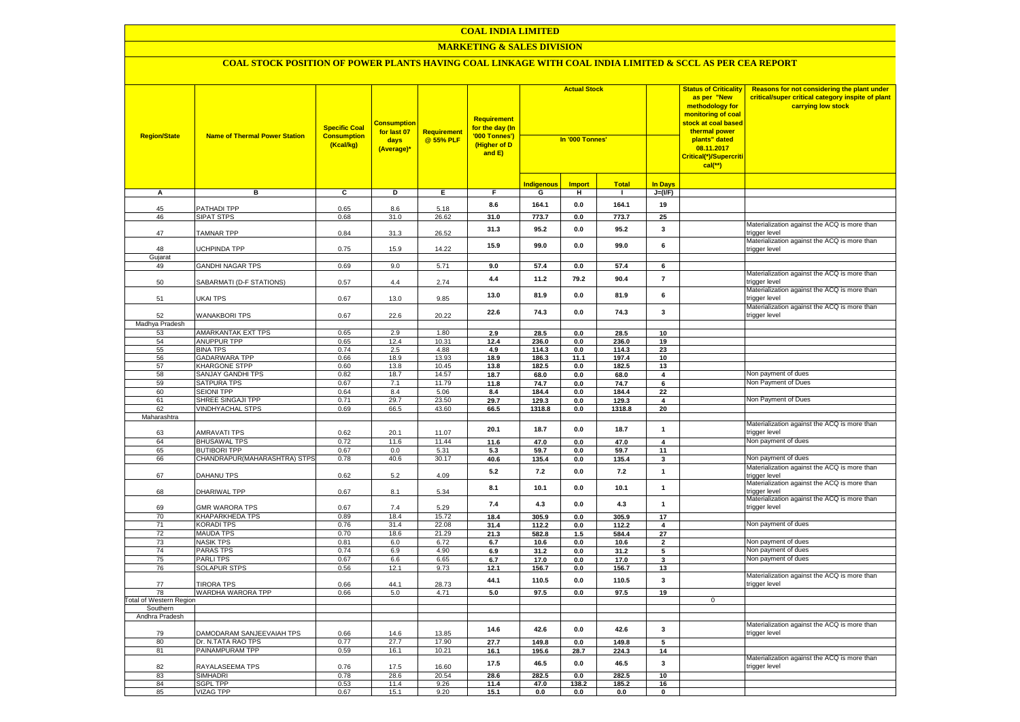#### **MARKETING & SALES DIVISION**

| <b>Region/State</b>     | <b>Name of Thermal Power Station</b>    | <b>Specific Coal</b><br><b>Consumption</b><br>(Kcal/kg) | <b>Consumption</b><br>for last 07<br>days<br>(Average)* | <b>Requirement</b><br>@ 55% PLF | <b>Requirement</b><br>for the day (In<br>'000 Tonnes')<br>(Higher of D<br>and E) | <b>Actual Stock</b><br>In '000 Tonnes' |               |               |                         | <b>Status of Criticality</b><br>as per "New<br>methodology for<br><mark>monitoring of coal</mark><br><mark>stock at coal based</mark><br>thermal power<br>plants" dated<br>08.11.2017<br>Critical(*)/Supercriti<br>$cal$ (**) | Reasons for not considering the plant under<br>critical/super critical category inspite of plant<br>carrying low stock |
|-------------------------|-----------------------------------------|---------------------------------------------------------|---------------------------------------------------------|---------------------------------|----------------------------------------------------------------------------------|----------------------------------------|---------------|---------------|-------------------------|-------------------------------------------------------------------------------------------------------------------------------------------------------------------------------------------------------------------------------|------------------------------------------------------------------------------------------------------------------------|
|                         |                                         |                                                         |                                                         |                                 |                                                                                  | <b>Indigenous</b>                      | <b>Import</b> | <b>Total</b>  | <b>In Days</b>          |                                                                                                                                                                                                                               |                                                                                                                        |
| A                       | в                                       | ट                                                       | Þ                                                       | Е.                              | F.                                                                               | G                                      | н             | $\mathbf{I}$  | $J=(VF)$                |                                                                                                                                                                                                                               |                                                                                                                        |
|                         |                                         |                                                         |                                                         |                                 | 8.6                                                                              | 164.1                                  | 0.0           | 164.1         | 19                      |                                                                                                                                                                                                                               |                                                                                                                        |
| 45<br>46                | <b>PATHADI TPP</b><br><b>SIPAT STPS</b> | 0.65<br>0.68                                            | 8.6<br>31.0                                             | 5.18<br>26.62                   | 31.0                                                                             | 773.7                                  | 0.0           | 773.7         | 25                      |                                                                                                                                                                                                                               |                                                                                                                        |
|                         |                                         |                                                         |                                                         |                                 |                                                                                  |                                        |               |               |                         |                                                                                                                                                                                                                               | Materialization against the ACQ is more than                                                                           |
| 47                      | <b>TAMNAR TPP</b>                       | 0.84                                                    | 31.3                                                    | 26.52                           | 31.3                                                                             | 95.2                                   | 0.0           | 95.2          | 3                       |                                                                                                                                                                                                                               | trigger level                                                                                                          |
|                         |                                         |                                                         |                                                         |                                 | 15.9                                                                             | 99.0                                   | 0.0           | 99.0          | 6                       |                                                                                                                                                                                                                               | Materialization against the ACQ is more than                                                                           |
| 48                      | <b>JCHPINDA TPP</b>                     | 0.75                                                    | 15.9                                                    | 14.22                           |                                                                                  |                                        |               |               |                         |                                                                                                                                                                                                                               | trigger level                                                                                                          |
| Gujarat<br>49           | <b>GANDHI NAGAR TPS</b>                 | 0.69                                                    | 9.0                                                     | 5.71                            | 9.0                                                                              | 57.4                                   | 0.0           | 57.4          | 6                       |                                                                                                                                                                                                                               |                                                                                                                        |
|                         |                                         |                                                         |                                                         |                                 |                                                                                  |                                        |               |               |                         |                                                                                                                                                                                                                               | Materialization against the ACQ is more than                                                                           |
| 50                      | SABARMATI (D-F STATIONS)                | 0.57                                                    | 4.4                                                     | 2.74                            | 4.4                                                                              | 11.2                                   | 79.2          | 90.4          | $\overline{7}$          |                                                                                                                                                                                                                               | trigger level                                                                                                          |
|                         |                                         |                                                         |                                                         |                                 |                                                                                  |                                        |               |               | 6                       |                                                                                                                                                                                                                               | Materialization against the ACQ is more than                                                                           |
| 51                      | UKAI TPS                                | 0.67                                                    | 13.0                                                    | 9.85                            | 13.0                                                                             | 81.9                                   | 0.0           | 81.9          |                         |                                                                                                                                                                                                                               | rigger level                                                                                                           |
|                         |                                         |                                                         |                                                         |                                 | 22.6                                                                             | 74.3                                   | 0.0           | 74.3          | $\mathbf{3}$            |                                                                                                                                                                                                                               | Materialization against the ACQ is more than                                                                           |
| 52                      | <b>WANAKBORI TPS</b>                    | 0.67                                                    | 22.6                                                    | 20.22                           |                                                                                  |                                        |               |               |                         |                                                                                                                                                                                                                               | trigger level                                                                                                          |
| Madhya Pradesh<br>53    | AMARKANTAK EXT TPS                      | 0.65                                                    | 2.9                                                     | 1.80                            | 2.9                                                                              | 28.5                                   | 0.0           | 28.5          | 10                      |                                                                                                                                                                                                                               |                                                                                                                        |
| 54                      | ANUPPUR TPP                             | 0.65                                                    | 12.4                                                    | 10.31                           | 12.4                                                                             | 236.0                                  | 0.0           | 236.0         | 19                      |                                                                                                                                                                                                                               |                                                                                                                        |
| 55                      | <b>BINA TPS</b>                         | 0.74                                                    | 2.5                                                     | 4.88                            | 4.9                                                                              | 114.3                                  | 0.0           | 114.3         | 23                      |                                                                                                                                                                                                                               |                                                                                                                        |
| 56                      | <b>GADARWARA TPP</b>                    | 0.66                                                    | 18.9                                                    | 13.93                           | 18.9                                                                             | 186.3                                  | 11.1          | 197.4         | 10                      |                                                                                                                                                                                                                               |                                                                                                                        |
| 57                      | KHARGONE STPP                           | 0.60                                                    | 13.8                                                    | 10.45                           | 13.8                                                                             | 182.5                                  | 0.0           | 182.5         | 13                      |                                                                                                                                                                                                                               |                                                                                                                        |
| 58                      | SANJAY GANDHI TPS                       | 0.82                                                    | 18.7                                                    | 14.57                           | 18.7                                                                             | 68.0                                   | 0.0           | 68.0          | $\overline{4}$          |                                                                                                                                                                                                                               | Non payment of dues                                                                                                    |
| 59                      | SATPURA TPS                             | 0.67                                                    | 7.1                                                     | 11.79                           | 11.8                                                                             | 74.7                                   | 0.0           | 74.7          | 6                       |                                                                                                                                                                                                                               | Non Payment of Dues                                                                                                    |
| 60                      | <b>SEIONI TPP</b>                       | 0.64                                                    | 8.4                                                     | 5.06                            | 8.4                                                                              | 184.4                                  | 0.0           | 184.4         | 22                      |                                                                                                                                                                                                                               |                                                                                                                        |
| 61                      | SHREE SINGAJI TPP                       | 0.71                                                    | 29.7                                                    | 23.50                           | 29.7                                                                             | 129.3                                  | 0.0           | 129.3         | $\overline{\mathbf{4}}$ |                                                                                                                                                                                                                               | Non Payment of Dues                                                                                                    |
| 62                      | <b>VINDHYACHAL STPS</b>                 | 0.69                                                    | 66.5                                                    | 43.60                           | 66.5                                                                             | 1318.8                                 | 0.0           | 1318.8        | 20                      |                                                                                                                                                                                                                               |                                                                                                                        |
| Maharashtra             |                                         |                                                         |                                                         |                                 |                                                                                  |                                        |               |               |                         |                                                                                                                                                                                                                               |                                                                                                                        |
|                         |                                         |                                                         |                                                         |                                 | 20.1                                                                             | 18.7                                   | 0.0           | 18.7          | $\mathbf{1}$            |                                                                                                                                                                                                                               | Materialization against the ACQ is more than                                                                           |
| 63                      | AMRAVATI TPS                            | 0.62                                                    | 20.1                                                    | 11.07                           |                                                                                  |                                        |               |               |                         |                                                                                                                                                                                                                               | trigger level<br>Non payment of dues                                                                                   |
| 64                      | <b>BHUSAWAL TPS</b>                     | 0.72                                                    | 11.6                                                    | 11.44                           | 11.6                                                                             | 47.0                                   | 0.0           | 47.0          | 4                       |                                                                                                                                                                                                                               |                                                                                                                        |
| 65                      | <b>BUTIBORI TPP</b>                     | 0.67                                                    | 0.0                                                     | 5.31                            | 5.3                                                                              | 59.7                                   | 0.0           | 59.7          | 11                      |                                                                                                                                                                                                                               |                                                                                                                        |
| 66                      | CHANDRAPUR(MAHARASHTRA) STPS            | 0.78                                                    | 40.6                                                    | 30.17                           | 40.6                                                                             | 135.4                                  | $0.0\,$       | 135.4         | $\mathbf{3}$            |                                                                                                                                                                                                                               | Non payment of dues                                                                                                    |
| 67                      | DAHANU TPS                              | 0.62                                                    | 5.2                                                     | 4.09                            | 5.2                                                                              | 7.2                                    | 0.0           | 7.2           | $\mathbf{1}$            |                                                                                                                                                                                                                               | Materialization against the ACQ is more than<br>rigger level                                                           |
|                         |                                         |                                                         |                                                         |                                 |                                                                                  |                                        |               |               |                         |                                                                                                                                                                                                                               | Materialization against the ACQ is more than                                                                           |
| 68                      | DHARIWAL TPP                            | 0.67                                                    | 8.1                                                     | 5.34                            | 8.1                                                                              | 10.1                                   | 0.0           | 10.1          | $\mathbf{1}$            |                                                                                                                                                                                                                               | rigger level                                                                                                           |
|                         |                                         |                                                         |                                                         |                                 | 7.4                                                                              | 4.3                                    | 0.0           | 4.3           | $\mathbf{1}$            |                                                                                                                                                                                                                               | Materialization against the ACQ is more than                                                                           |
| 69                      | GMR WARORA TPS                          | 0.67                                                    | 7.4                                                     | 5.29                            |                                                                                  |                                        |               |               |                         |                                                                                                                                                                                                                               | trigger level                                                                                                          |
| 70                      | KHAPARKHEDA TPS                         | 0.89                                                    | 18.4                                                    | 15.72                           | 18.4                                                                             | 305.9                                  | 0.0           | 305.9         | 17                      |                                                                                                                                                                                                                               |                                                                                                                        |
| 71                      | <b>KORADI TPS</b>                       | 0.76                                                    | 31.4                                                    | 22.08                           | 31.4                                                                             | 112.2                                  | 0.0           | 112.2         | $\pmb{4}$               |                                                                                                                                                                                                                               | Non payment of dues                                                                                                    |
| 72                      | <b>MAUDA TPS</b>                        | 0.70                                                    | 18.6                                                    | 21.29                           | 21.3                                                                             | 582.8                                  | 1.5           | 584.4         | $\overline{27}$         |                                                                                                                                                                                                                               |                                                                                                                        |
| 73                      | <b>NASIK TPS</b>                        | 0.81                                                    | 6.0                                                     | 6.72                            | 6.7                                                                              | 10.6                                   | $0.0\,$       | 10.6          | $\overline{\mathbf{2}}$ |                                                                                                                                                                                                                               | Non payment of dues                                                                                                    |
| 74                      | <b>PARAS TPS</b>                        | 0.74                                                    | 6.9                                                     | 4.90                            | 6.9                                                                              | 31.2                                   | 0.0           | 31.2          | 5                       |                                                                                                                                                                                                                               | Non payment of dues                                                                                                    |
| 75<br>76                | PARLI TPS<br><b>SOLAPUR STPS</b>        | 0.67<br>0.56                                            | 6.6<br>12.1                                             | 6.65<br>9.73                    | 6.7<br>12.1                                                                      | 17.0<br>156.7                          | 0.0<br>0.0    | 17.0<br>156.7 | 3<br>13                 |                                                                                                                                                                                                                               | Non payment of dues                                                                                                    |
|                         |                                         |                                                         |                                                         |                                 |                                                                                  |                                        |               |               |                         |                                                                                                                                                                                                                               | Materialization against the ACQ is more than                                                                           |
| 77                      | <b>TIRORA TPS</b>                       | 0.66                                                    | 44.1                                                    | 28.73                           | 44.1                                                                             | 110.5                                  | $0.0\,$       | 110.5         | $\overline{\mathbf{3}}$ |                                                                                                                                                                                                                               | trigger level                                                                                                          |
| 78                      | WARDHA WARORA TPP                       | 0.66                                                    | 5.0                                                     | 4.71                            | 5.0                                                                              | 97.5                                   | 0.0           | 97.5          | 19                      |                                                                                                                                                                                                                               |                                                                                                                        |
| Total of Western Region |                                         |                                                         |                                                         |                                 |                                                                                  |                                        |               |               |                         | $\overline{0}$                                                                                                                                                                                                                |                                                                                                                        |
| Southern                |                                         |                                                         |                                                         |                                 |                                                                                  |                                        |               |               |                         |                                                                                                                                                                                                                               |                                                                                                                        |
| Andhra Pradesh          |                                         |                                                         |                                                         |                                 |                                                                                  |                                        |               |               |                         |                                                                                                                                                                                                                               |                                                                                                                        |
| 79                      | DAMODARAM SANJEEVAIAH TPS               | 0.66                                                    | 14.6                                                    | 13.85                           | 14.6                                                                             | 42.6                                   | 0.0           | 42.6          | 3                       |                                                                                                                                                                                                                               | Materialization against the ACQ is more than<br>trigger level                                                          |
| 80                      | Dr. N.TATA RAO TPS                      | 0.77                                                    | 27.7                                                    | 17.90                           | 27.7                                                                             | 149.8                                  | 0.0           | 149.8         | 5                       |                                                                                                                                                                                                                               |                                                                                                                        |
| 81                      | PAINAMPURAM TPP                         | 0.59                                                    | 16.1                                                    | 10.21                           | 16.1                                                                             | 195.6                                  | 28.7          | 224.3         | ${\bf 14}$              |                                                                                                                                                                                                                               |                                                                                                                        |
|                         |                                         |                                                         |                                                         |                                 |                                                                                  |                                        |               |               |                         |                                                                                                                                                                                                                               | Materialization against the ACQ is more than                                                                           |
| 82                      | RAYALASEEMA TPS                         | 0.76                                                    | 17.5                                                    | 16.60                           | 17.5                                                                             | 46.5                                   | $0.0\,$       | 46.5          | $\mathbf 3$             |                                                                                                                                                                                                                               | trigger level                                                                                                          |
| 83                      | <b>SIMHADRI</b>                         | 0.78                                                    | 28.6                                                    | 20.54                           | 28.6                                                                             | 282.5                                  | 0.0           | 282.5         | 10                      |                                                                                                                                                                                                                               |                                                                                                                        |
| 84                      | <b>SGPL TPP</b>                         | 0.53                                                    | 11.4                                                    | 9.26                            | 11.4                                                                             | 47.0                                   | 138.2         | 185.2         | 16                      |                                                                                                                                                                                                                               |                                                                                                                        |
| 85                      | <b>VIZAG TPP</b>                        | 0.67                                                    | 15.1                                                    | 9.20                            | 15.1                                                                             | 0.0                                    | 0.0           | $0.0\,$       | $\mathbf 0$             |                                                                                                                                                                                                                               |                                                                                                                        |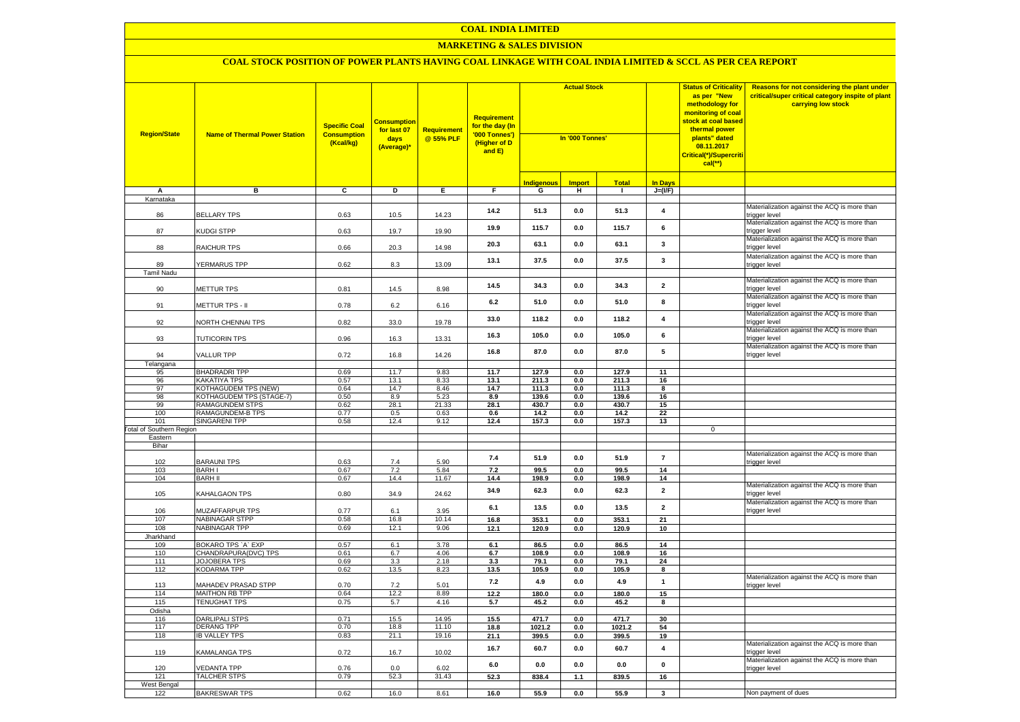#### **MARKETING & SALES DIVISION**

| <b>Region/State</b>             | <b>Name of Thermal Power Station</b>                    | <b>Specific Coal</b><br><b>Consumption</b><br>(Kcal/kg) | <mark>Consumption</mark><br>for last 07<br>days<br>(Average)* | <b>Requirement</b><br>@ 55% PLF | Requirement<br>for the day (In<br>'000 Tonnes')<br>(Higher of D<br>and E) | <b>Actual Stock</b><br>In '000 Tonnes' |               |                |                         | <b>Status of Criticality</b><br>as per "New<br>methodology for<br>monitoring of coal<br>stock at coal based<br>thermal power<br>plants" dated<br>08.11.2017<br>Critical(*)/Supercriti<br>$cal$ (**) | Reasons for not considering the plant under<br>critical/super critical category inspite of plant<br>carrying low stock |
|---------------------------------|---------------------------------------------------------|---------------------------------------------------------|---------------------------------------------------------------|---------------------------------|---------------------------------------------------------------------------|----------------------------------------|---------------|----------------|-------------------------|-----------------------------------------------------------------------------------------------------------------------------------------------------------------------------------------------------|------------------------------------------------------------------------------------------------------------------------|
|                                 |                                                         |                                                         |                                                               |                                 |                                                                           | <mark>Indigenous</mark>                | <b>Import</b> | <b>Total</b>   | <b>In Days</b>          |                                                                                                                                                                                                     |                                                                                                                        |
| A                               | в                                                       | C                                                       | D                                                             | Е.                              | F.                                                                        | G                                      | н             | $\mathbf{I}$   | $J=(VF)$                |                                                                                                                                                                                                     |                                                                                                                        |
| Karnataka                       |                                                         |                                                         |                                                               |                                 |                                                                           |                                        |               |                |                         |                                                                                                                                                                                                     |                                                                                                                        |
| 86                              | <b>BELLARY TPS</b>                                      | 0.63                                                    | 10.5                                                          | 14.23                           | 14.2                                                                      | 51.3                                   | 0.0           | 51.3           | $\overline{\mathbf{4}}$ |                                                                                                                                                                                                     | Materialization against the ACQ is more than<br>trigger level<br>Materialization against the ACQ is more than          |
| 87                              | KUDGI STPP                                              | 0.63                                                    | 19.7                                                          | 19.90                           | 19.9                                                                      | 115.7                                  | 0.0           | 115.7          | 6                       |                                                                                                                                                                                                     | trigger level                                                                                                          |
| 88                              | RAICHUR TPS                                             | 0.66                                                    | 20.3                                                          | 14.98                           | 20.3                                                                      | 63.1                                   | 0.0           | 63.1           | $\mathbf{3}$            |                                                                                                                                                                                                     | Materialization against the ACQ is more than<br>rigger level                                                           |
| 89                              | <b>YERMARUS TPP</b>                                     | 0.62                                                    | 8.3                                                           | 13.09                           | 13.1                                                                      | 37.5                                   | 0.0           | 37.5           | $\mathbf{3}$            |                                                                                                                                                                                                     | Materialization against the ACQ is more than<br>trigger level                                                          |
| <b>Tamil Nadu</b>               |                                                         |                                                         |                                                               |                                 |                                                                           |                                        |               |                |                         |                                                                                                                                                                                                     |                                                                                                                        |
| 90                              | <b>METTUR TPS</b>                                       | 0.81                                                    | 14.5                                                          | 8.98                            | 14.5                                                                      | 34.3                                   | 0.0           | 34.3           | $\overline{2}$          |                                                                                                                                                                                                     | Materialization against the ACQ is more than<br>rigger level                                                           |
| 91                              | METTUR TPS - II                                         | 0.78                                                    | 6.2                                                           | 6.16                            | 6.2                                                                       | 51.0                                   | 0.0           | 51.0           | 8                       |                                                                                                                                                                                                     | Materialization against the ACQ is more than<br>trigger level                                                          |
| 92                              | <b>VORTH CHENNAI TPS</b>                                | 0.82                                                    | 33.0                                                          | 19.78                           | 33.0                                                                      | 118.2                                  | 0.0           | 118.2          | $\overline{\mathbf{4}}$ |                                                                                                                                                                                                     | Materialization against the ACQ is more than<br>trigger level                                                          |
| 93                              | <b>TUTICORIN TPS</b>                                    | 0.96                                                    | 16.3                                                          | 13.31                           | 16.3                                                                      | 105.0                                  | 0.0           | 105.0          | 6                       |                                                                                                                                                                                                     | Materialization against the ACQ is more than<br>rigger level                                                           |
| 94                              | <b>VALLUR TPP</b>                                       | 0.72                                                    | 16.8                                                          | 14.26                           | 16.8                                                                      | 87.0                                   | 0.0           | 87.0           | ${\bf 5}$               |                                                                                                                                                                                                     | Materialization against the ACQ is more than<br>trigger level                                                          |
| Telangana                       |                                                         |                                                         |                                                               |                                 |                                                                           |                                        |               |                |                         |                                                                                                                                                                                                     |                                                                                                                        |
| 95                              | <b>BHADRADRI TPP</b>                                    | 0.69                                                    | 11.7                                                          | 9.83                            | 11.7                                                                      | 127.9                                  | 0.0           | 127.9          | 11                      |                                                                                                                                                                                                     |                                                                                                                        |
| 96                              | <b>KAKATIYA TPS</b>                                     | 0.57                                                    | 13.1                                                          | 8.33                            | 13.1                                                                      | 211.3                                  | 0.0           | 211.3          | 16                      |                                                                                                                                                                                                     |                                                                                                                        |
| 97<br>98                        | KOTHAGUDEM TPS (NEW)<br><b>KOTHAGUDEM TPS (STAGE-7)</b> | 0.64<br>0.50                                            | 14.7<br>8.9                                                   | 8.46<br>5.23                    | 14.7                                                                      | 111.3                                  | 0.0           | 111.3          | 8                       |                                                                                                                                                                                                     |                                                                                                                        |
| 99                              | RAMAGUNDEM STPS                                         | 0.62                                                    | 28.1                                                          | 21.33                           | 8.9<br>28.1                                                               | 139.6<br>430.7                         | 0.0<br>0.0    | 139.6<br>430.7 | 16<br>15                |                                                                                                                                                                                                     |                                                                                                                        |
| 100                             | RAMAGUNDEM-B TPS                                        | 0.77                                                    | 0.5                                                           | 0.63                            | 0.6                                                                       | 14.2                                   | 0.0           | 14.2           | 22                      |                                                                                                                                                                                                     |                                                                                                                        |
| 101                             | <b>SINGARENI TPP</b>                                    | 0.58                                                    | 12.4                                                          | 9.12                            | 12.4                                                                      | 157.3                                  | 0.0           | 157.3          | 13                      |                                                                                                                                                                                                     |                                                                                                                        |
| <b>Total of Southern Region</b> |                                                         |                                                         |                                                               |                                 |                                                                           |                                        |               |                |                         | $\mathbf 0$                                                                                                                                                                                         |                                                                                                                        |
| Eastern                         |                                                         |                                                         |                                                               |                                 |                                                                           |                                        |               |                |                         |                                                                                                                                                                                                     |                                                                                                                        |
| Bihar                           |                                                         |                                                         |                                                               |                                 |                                                                           |                                        |               |                |                         |                                                                                                                                                                                                     |                                                                                                                        |
| 102                             | <b>BARAUNI TPS</b>                                      | 0.63                                                    | 7.4                                                           | 5.90                            | 7.4                                                                       | 51.9                                   | 0.0           | 51.9           | $\overline{7}$          |                                                                                                                                                                                                     | Materialization against the ACQ is more than<br>rigger level                                                           |
| 103                             | <b>BARH I</b>                                           | 0.67                                                    | 7.2                                                           | 5.84                            | 7.2                                                                       | 99.5                                   | 0.0           | 99.5           | 14                      |                                                                                                                                                                                                     |                                                                                                                        |
| 104                             | <b>BARH II</b>                                          | 0.67                                                    | 14.4                                                          | 11.67                           | 14.4                                                                      | 198.9                                  | 0.0           | 198.9          | 14                      |                                                                                                                                                                                                     | Materialization against the ACQ is more than                                                                           |
| 105                             | KAHALGAON TPS                                           | 0.80                                                    | 34.9                                                          | 24.62                           | 34.9                                                                      | 62.3                                   | 0.0           | 62.3           | $\overline{2}$          |                                                                                                                                                                                                     | rigger level                                                                                                           |
| 106                             | MUZAFFARPUR TPS                                         | 0.77                                                    | 6.1                                                           | 3.95                            | 6.1                                                                       | 13.5                                   | 0.0           | 13.5           | $\overline{2}$          |                                                                                                                                                                                                     | Materialization against the ACQ is more than<br>rigger level                                                           |
| 107                             | NABINAGAR STPP                                          | 0.58                                                    | 16.8                                                          | 10.14                           | 16.8                                                                      | 353.1                                  | 0.0           | 353.1          | 21                      |                                                                                                                                                                                                     |                                                                                                                        |
| 108                             | <b>NABINAGAR TPP</b>                                    | 0.69                                                    | 12.1                                                          | 9.06                            | 12.1                                                                      | 120.9                                  | 0.0           | 120.9          | 10                      |                                                                                                                                                                                                     |                                                                                                                        |
| Jharkhand<br>109                | BOKARO TPS 'A' EXP                                      | 0.57                                                    | 6.1                                                           | 3.78                            | 6.1                                                                       | 86.5                                   | 0.0           | 86.5           | 14                      |                                                                                                                                                                                                     |                                                                                                                        |
| 110                             | CHANDRAPURA(DVC) TPS                                    | 0.61                                                    | 6.7                                                           | 4.06                            | 6.7                                                                       | 108.9                                  | 0.0           | 108.9          | 16                      |                                                                                                                                                                                                     |                                                                                                                        |
| 111                             | <b>JOJOBERA TPS</b>                                     | 0.69                                                    | 3.3                                                           | 2.18                            | 3.3                                                                       | 79.1                                   | 0.0           | 79.1           | 24                      |                                                                                                                                                                                                     |                                                                                                                        |
| 112                             | <b>KODARMA TPP</b>                                      | 0.62                                                    | 13.5                                                          | 8.23                            | 13.5                                                                      | 105.9                                  | 0.0           | 105.9          | 8                       |                                                                                                                                                                                                     |                                                                                                                        |
| 113                             | MAHADEV PRASAD STPP                                     | 0.70                                                    | 7.2                                                           | 5.01                            | 7.2                                                                       | 4.9                                    | 0.0           | 4.9            | $\mathbf{1}$            |                                                                                                                                                                                                     | Materialization against the ACQ is more than<br>rigger level                                                           |
| 114                             | <b>MAITHON RB TPP</b>                                   | 0.64                                                    | 12.2                                                          | 8.89                            | 12.2                                                                      | 180.0                                  | 0.0           | 180.0          | 15                      |                                                                                                                                                                                                     |                                                                                                                        |
| 115                             | <b>TENUGHAT TPS</b>                                     | 0.75                                                    | 5.7                                                           | 4.16                            | 5.7                                                                       | 45.2                                   | 0.0           | 45.2           | 8                       |                                                                                                                                                                                                     |                                                                                                                        |
| Odisha<br>116                   | <b>DARLIPALI STPS</b>                                   | 0.71                                                    | 15.5                                                          | 14.95                           | 15.5                                                                      | 471.7                                  | 0.0           | 471.7          | 30                      |                                                                                                                                                                                                     |                                                                                                                        |
| 117                             | <b>DERANG TPP</b>                                       | 0.70                                                    | 18.8                                                          | 11.10                           | 18.8                                                                      | 1021.2                                 | 0.0           | 1021.2         | 54                      |                                                                                                                                                                                                     |                                                                                                                        |
| 118                             | <b>IB VALLEY TPS</b>                                    | 0.83                                                    | 21.1                                                          | 19.16                           | 21.1                                                                      | 399.5                                  | 0.0           | 399.5          | 19                      |                                                                                                                                                                                                     |                                                                                                                        |
| 119                             | KAMALANGA TPS                                           | 0.72                                                    | 16.7                                                          | 10.02                           | 16.7                                                                      | 60.7                                   | 0.0           | 60.7           | $\overline{\mathbf{4}}$ |                                                                                                                                                                                                     | Materialization against the ACQ is more than<br>rigger level                                                           |
| 120                             | <b>VEDANTA TPP</b>                                      | 0.76                                                    | 0.0                                                           | 6.02                            | 6.0                                                                       | 0.0                                    | 0.0           | 0.0            | $\pmb{0}$               |                                                                                                                                                                                                     | Materialization against the ACQ is more than<br>trigger level                                                          |
| 121                             | <b>TALCHER STPS</b>                                     | 0.79                                                    | 52.3                                                          | 31.43                           | 52.3                                                                      | 838.4                                  | 1.1           | 839.5          | 16                      |                                                                                                                                                                                                     |                                                                                                                        |
| West Bengal                     |                                                         |                                                         |                                                               |                                 |                                                                           |                                        |               |                |                         |                                                                                                                                                                                                     |                                                                                                                        |
| 122                             | <b>BAKRESWAR TPS</b>                                    | 0.62                                                    | 16.0                                                          | 8.61                            | 16.0                                                                      | 55.9                                   | 0.0           | 55.9           | $\overline{\mathbf{3}}$ |                                                                                                                                                                                                     | Non payment of dues                                                                                                    |